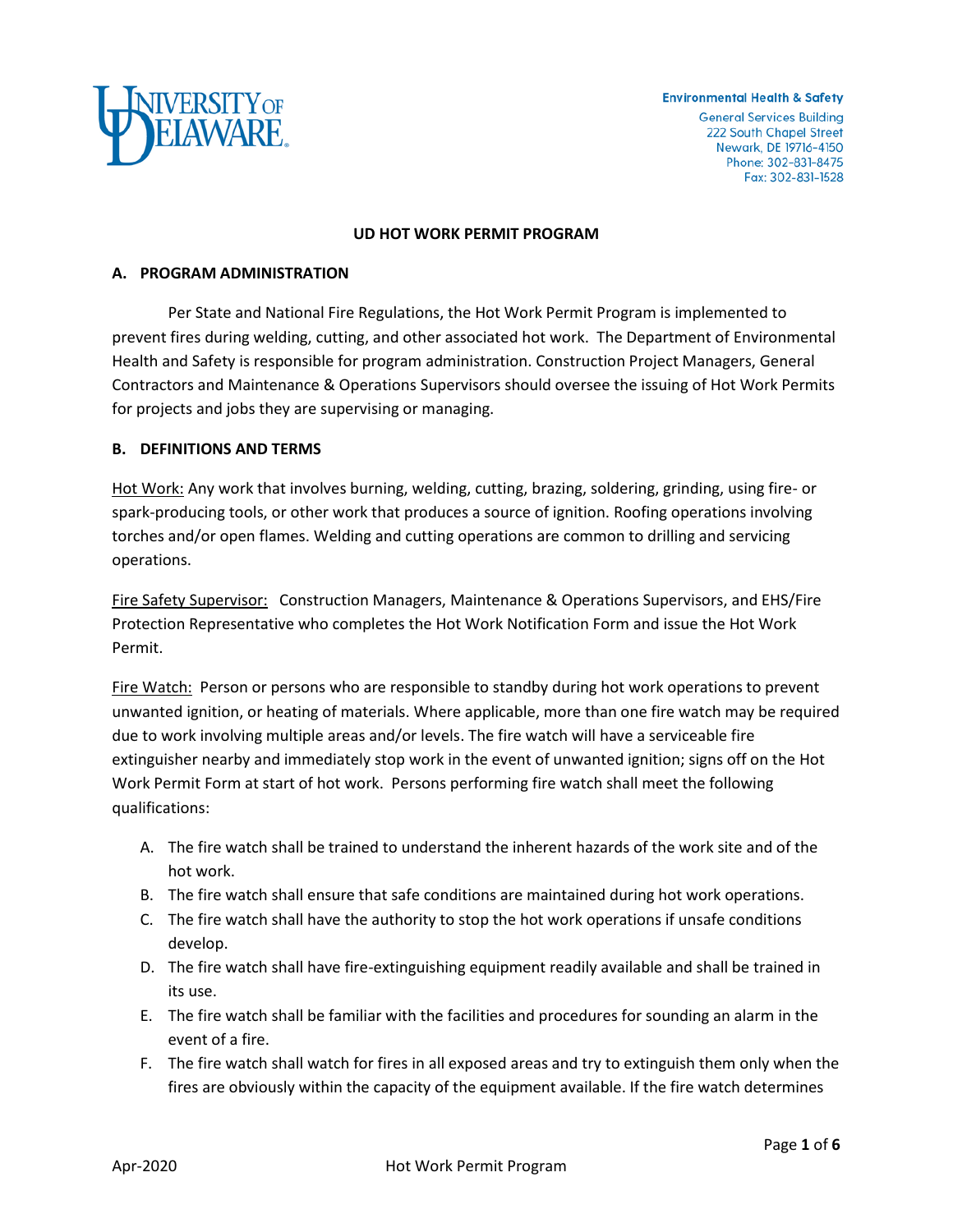

#### **Environmental Health & Safety**

**General Services Building** 222 South Chapel Street Newark, DE 19716-4150 Phone: 302-831-8475 Fax: 302-831-1528

#### **UD HOT WORK PERMIT PROGRAM**

### **A. PROGRAM ADMINISTRATION**

Per State and National Fire Regulations, the Hot Work Permit Program is implemented to prevent fires during welding, cutting, and other associated hot work. The Department of Environmental Health and Safety is responsible for program administration. Construction Project Managers, General Contractors and Maintenance & Operations Supervisors should oversee the issuing of Hot Work Permits for projects and jobs they are supervising or managing.

### **B. DEFINITIONS AND TERMS**

Hot Work: Any work that involves burning, welding, cutting, brazing, soldering, grinding, using fire- or spark-producing tools, or other work that produces a source of ignition. Roofing operations involving torches and/or open flames. Welding and cutting operations are common to drilling and servicing operations.

Fire Safety Supervisor: Construction Managers, Maintenance & Operations Supervisors, and EHS/Fire Protection Representative who completes the Hot Work Notification Form and issue the Hot Work Permit.

Fire Watch: Person or persons who are responsible to standby during hot work operations to prevent unwanted ignition, or heating of materials. Where applicable, more than one fire watch may be required due to work involving multiple areas and/or levels. The fire watch will have a serviceable fire extinguisher nearby and immediately stop work in the event of unwanted ignition; signs off on the Hot Work Permit Form at start of hot work. Persons performing fire watch shall meet the following qualifications:

- A. The fire watch shall be trained to understand the inherent hazards of the work site and of the hot work.
- B. The fire watch shall ensure that safe conditions are maintained during hot work operations.
- C. The fire watch shall have the authority to stop the hot work operations if unsafe conditions develop.
- D. The fire watch shall have fire-extinguishing equipment readily available and shall be trained in its use.
- E. The fire watch shall be familiar with the facilities and procedures for sounding an alarm in the event of a fire.
- F. The fire watch shall watch for fires in all exposed areas and try to extinguish them only when the fires are obviously within the capacity of the equipment available. If the fire watch determines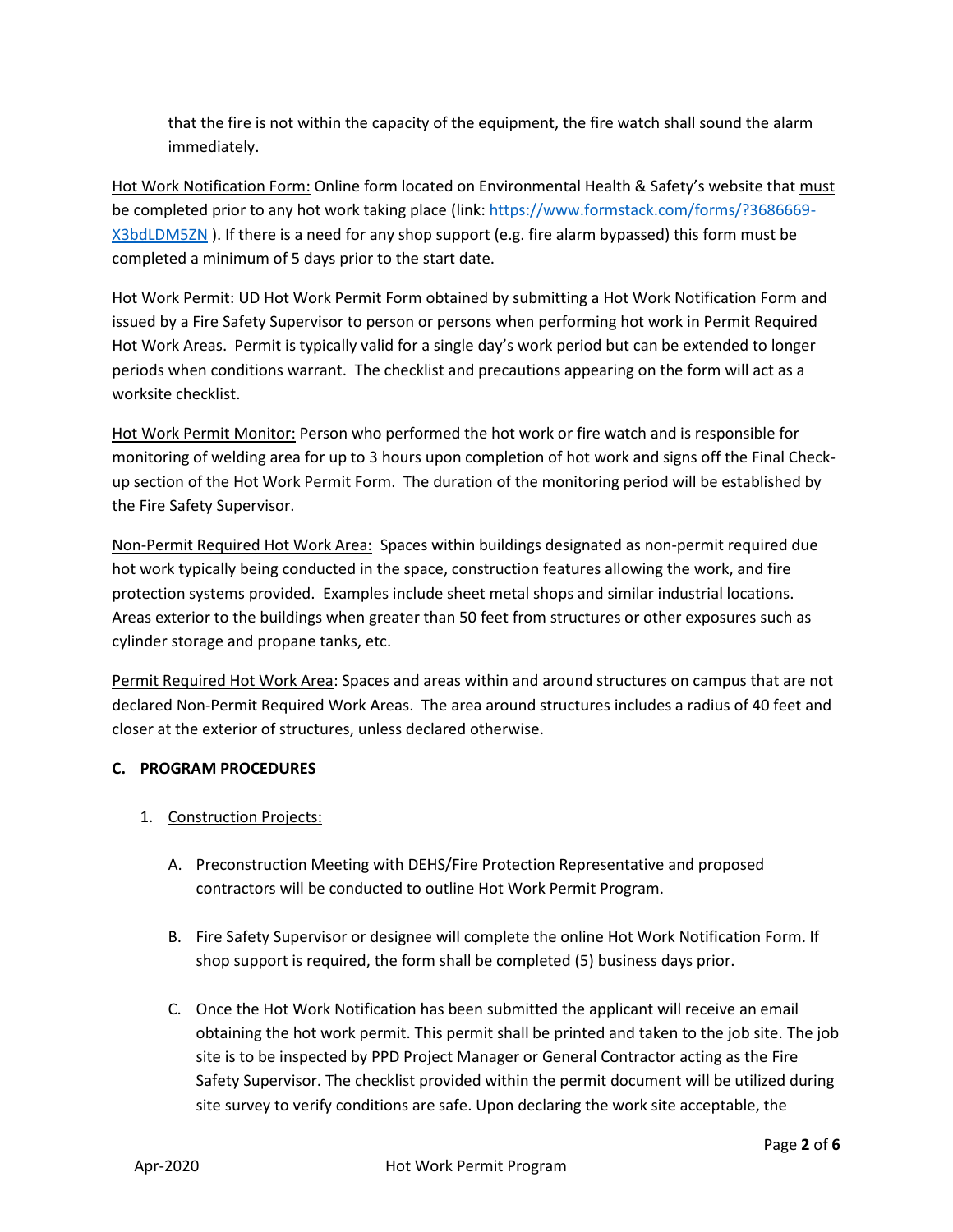that the fire is not within the capacity of the equipment, the fire watch shall sound the alarm immediately.

Hot Work Notification Form: Online form located on Environmental Health & Safety's website that must be completed prior to any hot work taking place (link: [https://www.formstack.com/forms/?3686669-](https://www.formstack.com/forms/?3686669-X3bdLDM5ZN) [X3bdLDM5ZN](https://www.formstack.com/forms/?3686669-X3bdLDM5ZN) ). If there is a need for any shop support (e.g. fire alarm bypassed) this form must be completed a minimum of 5 days prior to the start date.

Hot Work Permit: UD Hot Work Permit Form obtained by submitting a Hot Work Notification Form and issued by a Fire Safety Supervisor to person or persons when performing hot work in Permit Required Hot Work Areas. Permit is typically valid for a single day's work period but can be extended to longer periods when conditions warrant. The checklist and precautions appearing on the form will act as a worksite checklist.

Hot Work Permit Monitor: Person who performed the hot work or fire watch and is responsible for monitoring of welding area for up to 3 hours upon completion of hot work and signs off the Final Checkup section of the Hot Work Permit Form. The duration of the monitoring period will be established by the Fire Safety Supervisor.

Non-Permit Required Hot Work Area: Spaces within buildings designated as non-permit required due hot work typically being conducted in the space, construction features allowing the work, and fire protection systems provided. Examples include sheet metal shops and similar industrial locations. Areas exterior to the buildings when greater than 50 feet from structures or other exposures such as cylinder storage and propane tanks, etc.

Permit Required Hot Work Area: Spaces and areas within and around structures on campus that are not declared Non-Permit Required Work Areas. The area around structures includes a radius of 40 feet and closer at the exterior of structures, unless declared otherwise.

# **C. PROGRAM PROCEDURES**

- 1. Construction Projects:
	- A. Preconstruction Meeting with DEHS/Fire Protection Representative and proposed contractors will be conducted to outline Hot Work Permit Program.
	- B. Fire Safety Supervisor or designee will complete the online Hot Work Notification Form. If shop support is required, the form shall be completed (5) business days prior.
	- C. Once the Hot Work Notification has been submitted the applicant will receive an email obtaining the hot work permit. This permit shall be printed and taken to the job site. The job site is to be inspected by PPD Project Manager or General Contractor acting as the Fire Safety Supervisor. The checklist provided within the permit document will be utilized during site survey to verify conditions are safe. Upon declaring the work site acceptable, the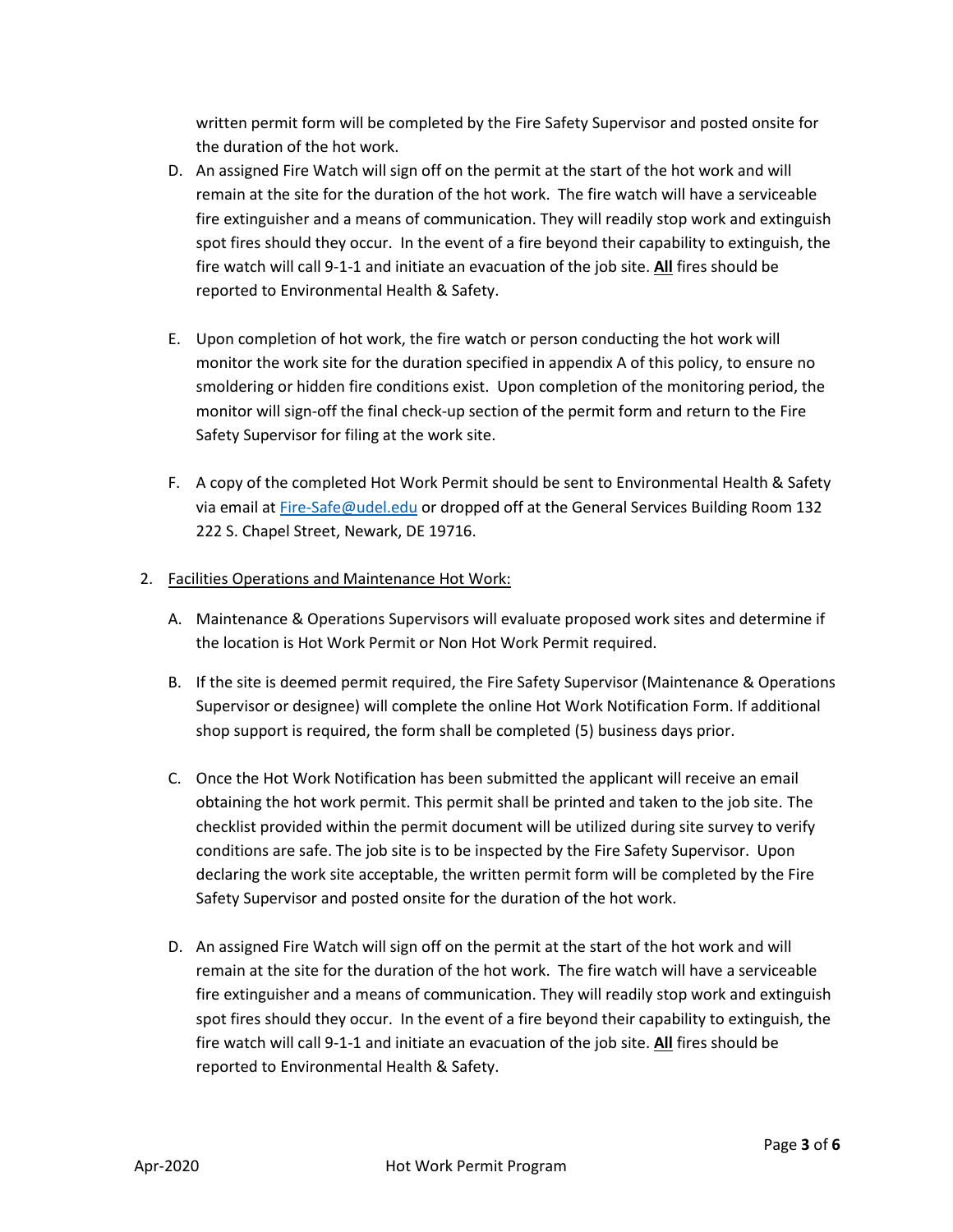written permit form will be completed by the Fire Safety Supervisor and posted onsite for the duration of the hot work.

- D. An assigned Fire Watch will sign off on the permit at the start of the hot work and will remain at the site for the duration of the hot work. The fire watch will have a serviceable fire extinguisher and a means of communication. They will readily stop work and extinguish spot fires should they occur. In the event of a fire beyond their capability to extinguish, the fire watch will call 9-1-1 and initiate an evacuation of the job site. **All** fires should be reported to Environmental Health & Safety.
- E. Upon completion of hot work, the fire watch or person conducting the hot work will monitor the work site for the duration specified in appendix A of this policy, to ensure no smoldering or hidden fire conditions exist. Upon completion of the monitoring period, the monitor will sign-off the final check-up section of the permit form and return to the Fire Safety Supervisor for filing at the work site.
- F. A copy of the completed Hot Work Permit should be sent to Environmental Health & Safety via email at [Fire-Safe@udel.edu](mailto:Fire-Safe@udel.edu) or dropped off at the General Services Building Room 132 222 S. Chapel Street, Newark, DE 19716.

# 2. Facilities Operations and Maintenance Hot Work:

- A. Maintenance & Operations Supervisors will evaluate proposed work sites and determine if the location is Hot Work Permit or Non Hot Work Permit required.
- B. If the site is deemed permit required, the Fire Safety Supervisor (Maintenance & Operations Supervisor or designee) will complete the online Hot Work Notification Form. If additional shop support is required, the form shall be completed (5) business days prior.
- C. Once the Hot Work Notification has been submitted the applicant will receive an email obtaining the hot work permit. This permit shall be printed and taken to the job site. The checklist provided within the permit document will be utilized during site survey to verify conditions are safe. The job site is to be inspected by the Fire Safety Supervisor. Upon declaring the work site acceptable, the written permit form will be completed by the Fire Safety Supervisor and posted onsite for the duration of the hot work.
- D. An assigned Fire Watch will sign off on the permit at the start of the hot work and will remain at the site for the duration of the hot work. The fire watch will have a serviceable fire extinguisher and a means of communication. They will readily stop work and extinguish spot fires should they occur. In the event of a fire beyond their capability to extinguish, the fire watch will call 9-1-1 and initiate an evacuation of the job site. **All** fires should be reported to Environmental Health & Safety.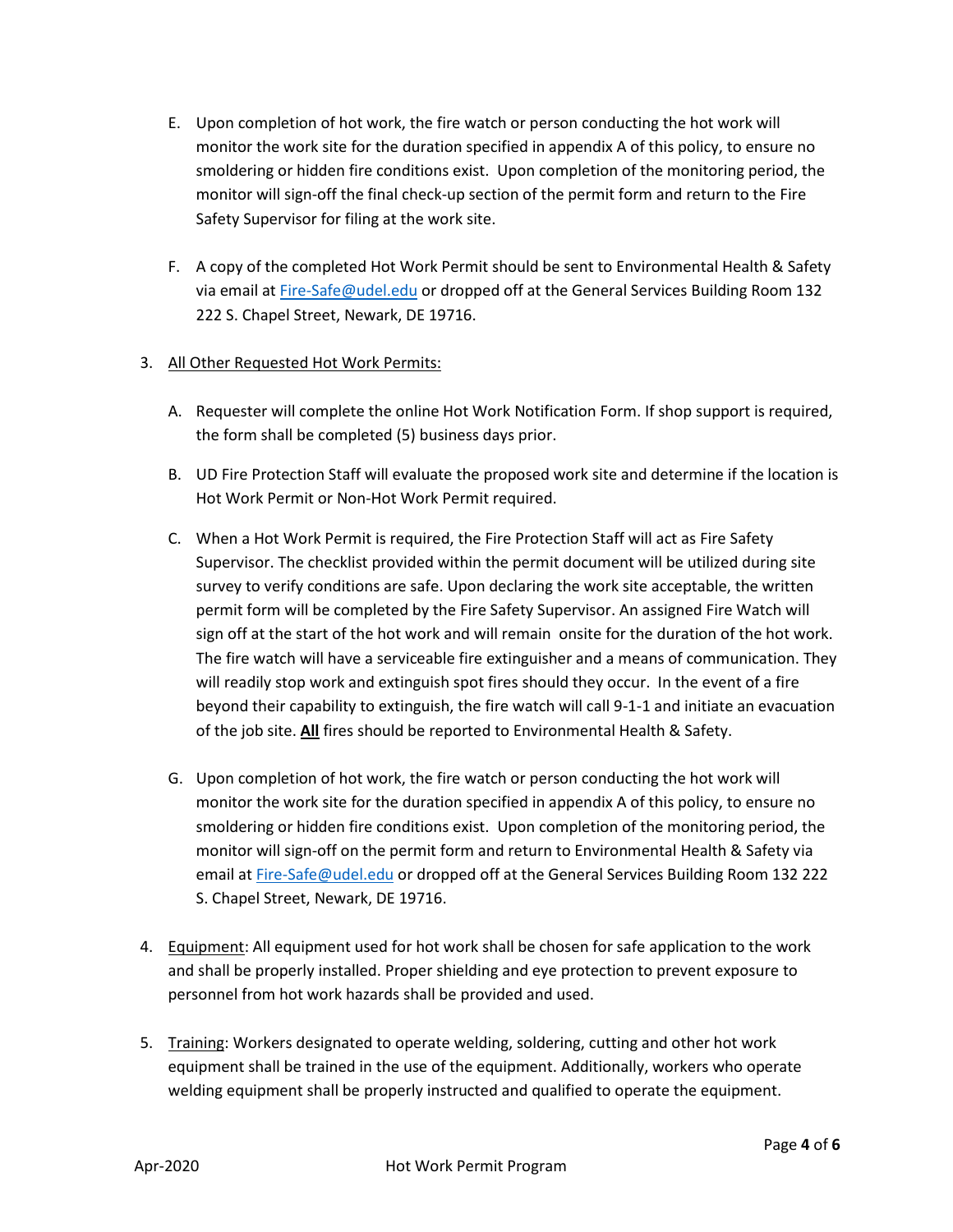- E. Upon completion of hot work, the fire watch or person conducting the hot work will monitor the work site for the duration specified in appendix A of this policy, to ensure no smoldering or hidden fire conditions exist. Upon completion of the monitoring period, the monitor will sign-off the final check-up section of the permit form and return to the Fire Safety Supervisor for filing at the work site.
- F. A copy of the completed Hot Work Permit should be sent to Environmental Health & Safety via email at [Fire-Safe@udel.edu](mailto:Fire-Safe@udel.edu) or dropped off at the General Services Building Room 132 222 S. Chapel Street, Newark, DE 19716.
- 3. All Other Requested Hot Work Permits:
	- A. Requester will complete the online Hot Work Notification Form. If shop support is required, the form shall be completed (5) business days prior.
	- B. UD Fire Protection Staff will evaluate the proposed work site and determine if the location is Hot Work Permit or Non-Hot Work Permit required.
	- C. When a Hot Work Permit is required, the Fire Protection Staff will act as Fire Safety Supervisor. The checklist provided within the permit document will be utilized during site survey to verify conditions are safe. Upon declaring the work site acceptable, the written permit form will be completed by the Fire Safety Supervisor. An assigned Fire Watch will sign off at the start of the hot work and will remain onsite for the duration of the hot work. The fire watch will have a serviceable fire extinguisher and a means of communication. They will readily stop work and extinguish spot fires should they occur. In the event of a fire beyond their capability to extinguish, the fire watch will call 9-1-1 and initiate an evacuation of the job site. **All** fires should be reported to Environmental Health & Safety.
	- G. Upon completion of hot work, the fire watch or person conducting the hot work will monitor the work site for the duration specified in appendix A of this policy, to ensure no smoldering or hidden fire conditions exist. Upon completion of the monitoring period, the monitor will sign-off on the permit form and return to Environmental Health & Safety via email a[t Fire-Safe@udel.edu](mailto:Fire-Safe@udel.edu) or dropped off at the General Services Building Room 132 222 S. Chapel Street, Newark, DE 19716.
- 4. Equipment: All equipment used for hot work shall be chosen for safe application to the work and shall be properly installed. Proper shielding and eye protection to prevent exposure to personnel from hot work hazards shall be provided and used.
- 5. Training: Workers designated to operate welding, soldering, cutting and other hot work equipment shall be trained in the use of the equipment. Additionally, workers who operate welding equipment shall be properly instructed and qualified to operate the equipment.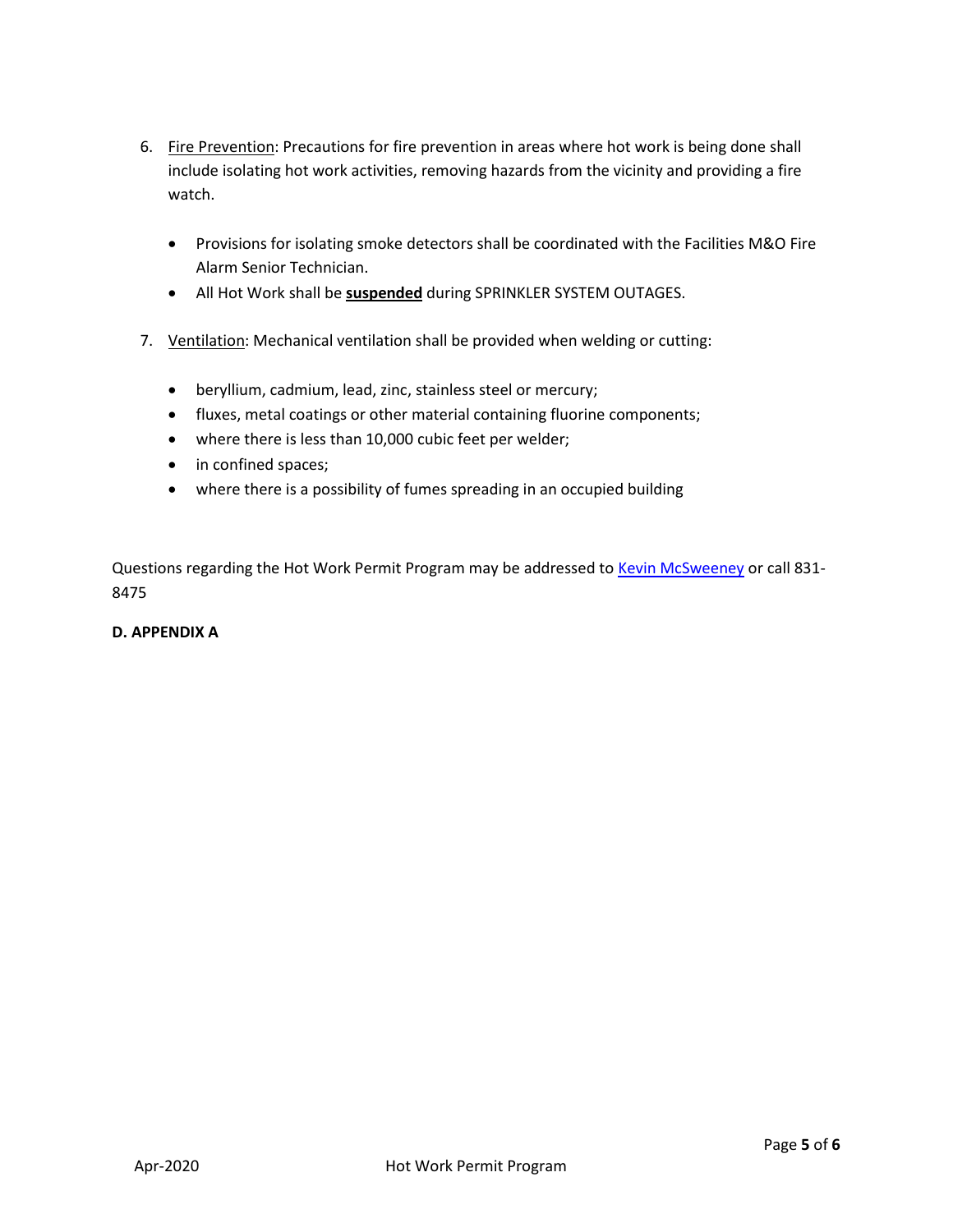- 6. Fire Prevention: Precautions for fire prevention in areas where hot work is being done shall include isolating hot work activities, removing hazards from the vicinity and providing a fire watch.
	- Provisions for isolating smoke detectors shall be coordinated with the Facilities M&O Fire Alarm Senior Technician.
	- All Hot Work shall be **suspended** during SPRINKLER SYSTEM OUTAGES.
- 7. Ventilation: Mechanical ventilation shall be provided when welding or cutting:
	- beryllium, cadmium, lead, zinc, stainless steel or mercury;
	- fluxes, metal coatings or other material containing fluorine components;
	- where there is less than 10,000 cubic feet per welder;
	- in confined spaces;
	- where there is a possibility of fumes spreading in an occupied building

Questions regarding the Hot Work Permit Program may be addressed to [Kevin McSweeney](mailto:kmcsween@udel.edu) or call 831-8475

#### **D. APPENDIX A**